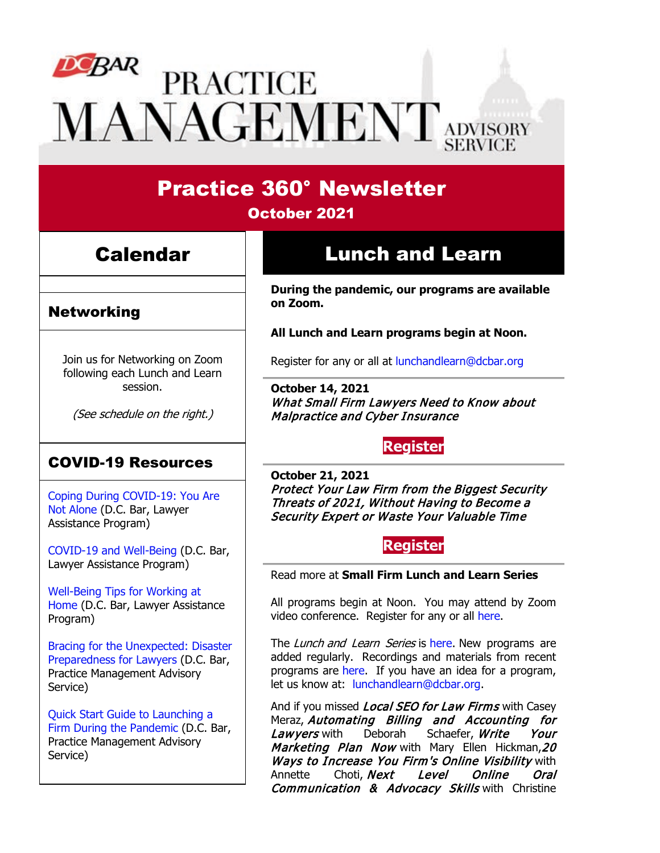# $D^{c}B^{AR}$ **PRACTICE VIANAGEMENT** ADVISORY

### Practice 360° Newsletter October 2021

## Calendar

### **Networking**

Join us for Networking on Zoom following each Lunch and Learn session.

(See schedule on the right.)

### COVID-19 Resources

[Coping During COVID-19: You Are](https://www.dcbar.org/news-events/news/coping-during-covid-19-you-are-not-alone?utm_source=Real%20Magnet&utm_medium=INSERT_CHANNEL&utm_campaign=INSERT_LINK_ID)  [Not Alone](https://www.dcbar.org/news-events/news/coping-during-covid-19-you-are-not-alone?utm_source=Real%20Magnet&utm_medium=INSERT_CHANNEL&utm_campaign=INSERT_LINK_ID) (D.C. Bar, Lawyer Assistance Program)

[COVID-19 and Well-Being](https://dcbarcms-uat3.i3digital.com/DCBar/i3Base/DCBar/For%20Lawyers/Lawyer%20Assistance%20Program/PDFs/covid-19-and-well-being.pdf) (D.C. Bar, Lawyer Assistance Program)

[Well-Being Tips for Working at](https://dcbarcms-uat3.i3digital.com/DCBar/i3Base/DCBar/For%20Lawyers/Lawyer%20Assistance%20Program/PDFs/Wellness-Tips-Working-From-Home.pdf)  [Home](https://dcbarcms-uat3.i3digital.com/DCBar/i3Base/DCBar/For%20Lawyers/Lawyer%20Assistance%20Program/PDFs/Wellness-Tips-Working-From-Home.pdf) (D.C. Bar, Lawyer Assistance Program)

[Bracing for the Unexpected: Disaster](https://www.dcbar.org/news-events/news/bracing-for-the-unexpected-disaster-preparedness-f?utm_source=Real%20Magnet&utm_medium=INSERT_CHANNEL&utm_campaign=INSERT_LINK_ID)  [Preparedness for Lawyers](https://www.dcbar.org/news-events/news/bracing-for-the-unexpected-disaster-preparedness-f?utm_source=Real%20Magnet&utm_medium=INSERT_CHANNEL&utm_campaign=INSERT_LINK_ID) (D.C. Bar, Practice Management Advisory Service)

[Quick Start Guide to Launching a](https://www.dcbar.org/getmedia/d28b7c4b-3dcb-419e-828d-fdc2340588f9/Career-disruption-setting-up-a-law-firm-quickly-resources?utm_source=Real%20Magnet&utm_medium=INSERT_CHANNEL&utm_campaign=INSERT_LINK_ID)  [Firm During the Pandemic](https://www.dcbar.org/getmedia/d28b7c4b-3dcb-419e-828d-fdc2340588f9/Career-disruption-setting-up-a-law-firm-quickly-resources?utm_source=Real%20Magnet&utm_medium=INSERT_CHANNEL&utm_campaign=INSERT_LINK_ID) (D.C. Bar, Practice Management Advisory Service)

# Lunch and Learn

**During the pandemic, our programs are available on Zoom.**

**All Lunch and Learn programs begin at Noon.**

Register for any or all at [lunchandlearn@dcbar.org](mailto:lunchandlearn@dcbar.org?subject=Lunch%20and%20Learn)

**October 14, 2021** What Small Firm Lawyers Need to Know about Malpractice and Cyber Insurance

### **[Register](https://dcbar.inreachce.com/Details/Information/a58d2d81-bae2-494e-ad3c-2b83f60af302)**

**October 21, 2021** Protect Your Law Firm from the Biggest Security Threats of 2021, Without Having to Become a Security Expert or Waste Your Valuable Time

#### **[Register](https://dcbar.inreachce.com/Details/Information/0b9b612d-f038-423c-a232-1295ee97e762)**

Read more at **[Small Firm Lunch](https://www.dcbar.org/for-lawyers/practice-management-advisory-service/courses-and-trainings/small-firm-lunch-and-learn-series?utm_source=Real%20Magnet&utm_medium=INSERT_CHANNEL&utm_campaign=INSERT_LINK_ID) and Learn Series**

All programs begin at Noon. You may attend by Zoom video conference. Register for any or all [here.](https://www.dcbar.org/for-lawyers/practice-management-advisory-service/courses-and-trainings/small-firm-lunch-and-learn-series?utm_source=Real%20Magnet&utm_medium=INSERT_CHANNEL&utm_campaign=INSERT_LINK_ID)

The Lunch and Learn Series is [here.](https://www.dcbar.org/for-lawyers/practice-management-advisory-service/courses-and-trainings/small-firm-lunch-and-learn-series?utm_source=Real%20Magnet&utm_medium=INSERT_CHANNEL&utm_campaign=INSERT_LINK_ID) New programs are added regularly. Recordings and materials from recent programs are [here.](https://www.dcbar.org/for-lawyers/practice-management-advisory-service/courses-and-trainings/small-firm-lunch-and-learn-series/past-lunch-and-learn-programs?utm_source=Real%20Magnet&utm_medium=INSERT_CHANNEL&utm_campaign=INSERT_LINK_ID) If you have an idea for a program, let us know at: [lunchandlearn@dcbar.org.](mailto:lunchandlearn@dcbar.org)

And if you missed *Local SEO for Law Firms* with Casey Meraz, Automating Billing and Accounting for<br>Lawverswith Deborah Schaefer, Write Your Lawyers with Deborah Schaefer, Write Your Marketing Plan Now with Mary Ellen Hickman, 20 Ways to Increase You Firm's Online Visibility with<br>Annette Choti, Next Level Online Oral Annette Choti, Next Level Online Oral Communication & Advocacy Skills with Christine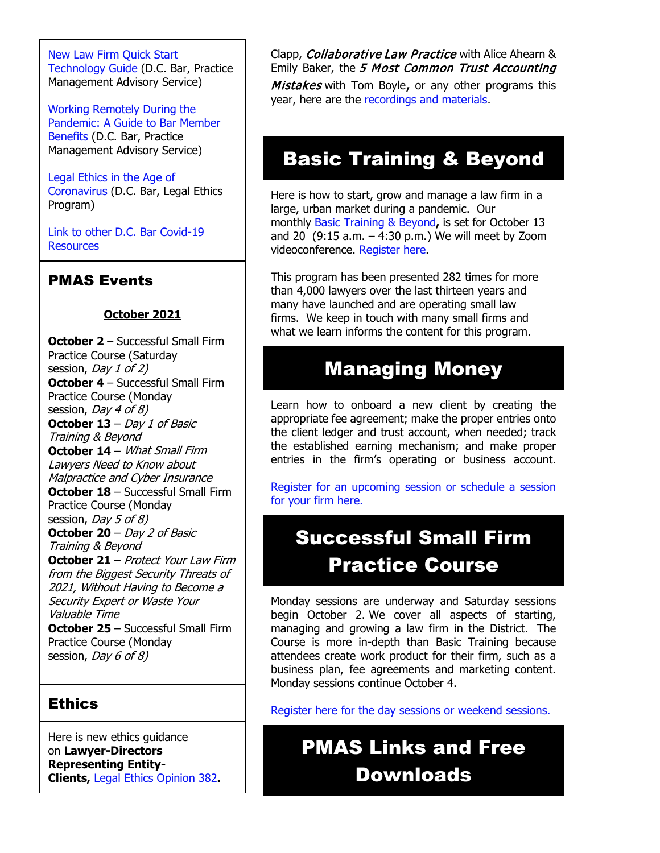[New Law Firm Quick Start](https://www.dcbar.org/getmedia/34a3addd-9a13-4fc7-8e68-fbc2be8b50e0/Quick-start-Tech-Guide-final?utm_source=Real%20Magnet&utm_medium=INSERT_CHANNEL&utm_campaign=INSERT_LINK_ID)  [Technology Guide](https://www.dcbar.org/getmedia/34a3addd-9a13-4fc7-8e68-fbc2be8b50e0/Quick-start-Tech-Guide-final?utm_source=Real%20Magnet&utm_medium=INSERT_CHANNEL&utm_campaign=INSERT_LINK_ID) (D.C. Bar, Practice Management Advisory Service)

[Working Remotely During the](https://www.dcbar.org/news-events/news/working-remotely-during-the-pandemic-a-guide-to-ba?utm_source=Real%20Magnet&utm_medium=INSERT_CHANNEL&utm_campaign=INSERT_LINK_ID)  [Pandemic: A Guide to Bar Member](https://www.dcbar.org/news-events/news/working-remotely-during-the-pandemic-a-guide-to-ba?utm_source=Real%20Magnet&utm_medium=INSERT_CHANNEL&utm_campaign=INSERT_LINK_ID)  [Benefits](https://www.dcbar.org/news-events/news/working-remotely-during-the-pandemic-a-guide-to-ba?utm_source=Real%20Magnet&utm_medium=INSERT_CHANNEL&utm_campaign=INSERT_LINK_ID) (D.C. Bar, Practice Management Advisory Service)

[Legal Ethics in the Age of](https://www.dcbar.org/news-events/news/legal-ethics-in-the-age-of-the-coronavirus?utm_source=Real%20Magnet&utm_medium=INSERT_CHANNEL&utm_campaign=INSERT_LINK_ID)  [Coronavirus](https://www.dcbar.org/news-events/news/legal-ethics-in-the-age-of-the-coronavirus?utm_source=Real%20Magnet&utm_medium=INSERT_CHANNEL&utm_campaign=INSERT_LINK_ID) (D.C. Bar, Legal Ethics Program)

[Link to other D.C. Bar Covid-19](https://www.dcbar.org/for-lawyers/membership/covid-19-resources?utm_source=Real%20Magnet&utm_medium=INSERT_CHANNEL&utm_campaign=INSERT_LINK_ID)  **[Resources](https://www.dcbar.org/for-lawyers/membership/covid-19-resources?utm_source=Real%20Magnet&utm_medium=INSERT_CHANNEL&utm_campaign=INSERT_LINK_ID)** 

### PMAS Events

#### **October 2021**

**October 2** – Successful Small Firm Practice Course (Saturday session, *Day 1 of 2*) **October 4** – Successful Small Firm Practice Course (Monday session, *Day 4 of 8*) **October 13** – Day 1 of Basic Training & Beyond **October 14** – What Small Firm Lawyers Need to Know about Malpractice and Cyber Insurance **October 18** – Successful Small Firm Practice Course (Monday session, *Day 5 of 8*) **October 20** – Day 2 of Basic Training & Beyond **October 21** – Protect Your Law Firm from the Biggest Security Threats of 2021, Without Having to Become a Security Expert or Waste Your Valuable Time

**October 25** – Successful Small Firm Practice Course (Monday session, *Day 6 of 8*)

#### **Ethics**

Here is new ethics guidance on **Lawyer-Directors Representing Entity-Clients,** [Legal Ethics Opinion 382](https://www.dcbar.org/For-Lawyers/Legal-Ethics/Ethics-Opinions-210-Present/Ethics-Opinion-382?utm_source=Real%20Magnet&utm_medium=INSERT_CHANNEL&utm_campaign=INSERT_LINK_ID)**.**

#### Clapp, *Collaborative Law Practice* with Alice Ahearn & Emily Baker, the 5 Most Common Trust Accounting

Mistakes with Tom Boyle, or any other programs this year, here are the [recordings and materials.](https://www.dcbar.org/for-lawyers/practice-management-advisory-service/courses-and-trainings/small-firm-lunch-and-learn-series/past-lunch-and-learn-programs?utm_source=Real%20Magnet&utm_medium=INSERT_CHANNEL&utm_campaign=INSERT_LINK_ID)

### Basic Training & Beyond

Here is how to start, grow and manage a law firm in a large, urban market during a pandemic. Our monthly [Basic Training & Beyond](http://www.mmsend31.com/link.cfm?r=zvkjaWqFFUTRz65Avl-Ftw%7E%7E&pe=c3ph7NU-Re1l6uj-xoZC_Nqnf2HGTrpIRRfl_qZmlgZN_I06rShTZ-AlGs0Wp7CGgKUozsdU2izsioLhmXaRbg%7E%7E&t=prXb-jowJMuBRf73r4YKRA%7E%7E)**,** is set for October 13 and 20  $(9:15 a.m. - 4:30 p.m.)$  We will meet by Zoom videoconference. [Register here.](http://www.mmsend31.com/link.cfm?r=zvkjaWqFFUTRz65Avl-Ftw%7E%7E&pe=BxjSlIjTK_3i3Os02s37pODjnSEaSaIBfLm0UarKy-K07-G29KY0F7SoVNdKQgSYIVrXVvuyFBcMiPY5X35JOA%7E%7E&t=prXb-jowJMuBRf73r4YKRA%7E%7E)

This program has been presented 282 times for more than 4,000 lawyers over the last thirteen years and many have launched and are operating small law firms. We keep in touch with many small firms and what we learn informs the content for this program.

### Managing Money

Learn how to onboard a new client by creating the appropriate fee agreement; make the proper entries onto the client ledger and trust account, when needed; track the established earning mechanism; and make proper entries in the firm's operating or business account.

[Register for an upcoming session or schedule a session](https://www.dcbar.org/for-lawyers/practice-management-advisory-service/courses-and-trainings/managing-money?utm_source=Real%20Magnet&utm_medium=INSERT_CHANNEL&utm_campaign=INSERT_LINK_ID)  [for your firm here.](https://www.dcbar.org/for-lawyers/practice-management-advisory-service/courses-and-trainings/managing-money?utm_source=Real%20Magnet&utm_medium=INSERT_CHANNEL&utm_campaign=INSERT_LINK_ID) 

# Successful Small Firm Practice Course

Monday sessions are underway and Saturday sessions begin October 2. We cover all aspects of starting, managing and growing a law firm in the District. The Course is more in-depth than Basic Training because attendees create work product for their firm, such as a business plan, fee agreements and marketing content. Monday sessions continue October 4.

[Register here for the day sessions or weekend sessions.](https://www.dcbar.org/for-lawyers/practice-management-advisory-service/courses-and-trainings/successful-small-firm-practice?utm_source=Real%20Magnet&utm_medium=INSERT_CHANNEL&utm_campaign=INSERT_LINK_ID)

# PMAS Links and Free Downloads